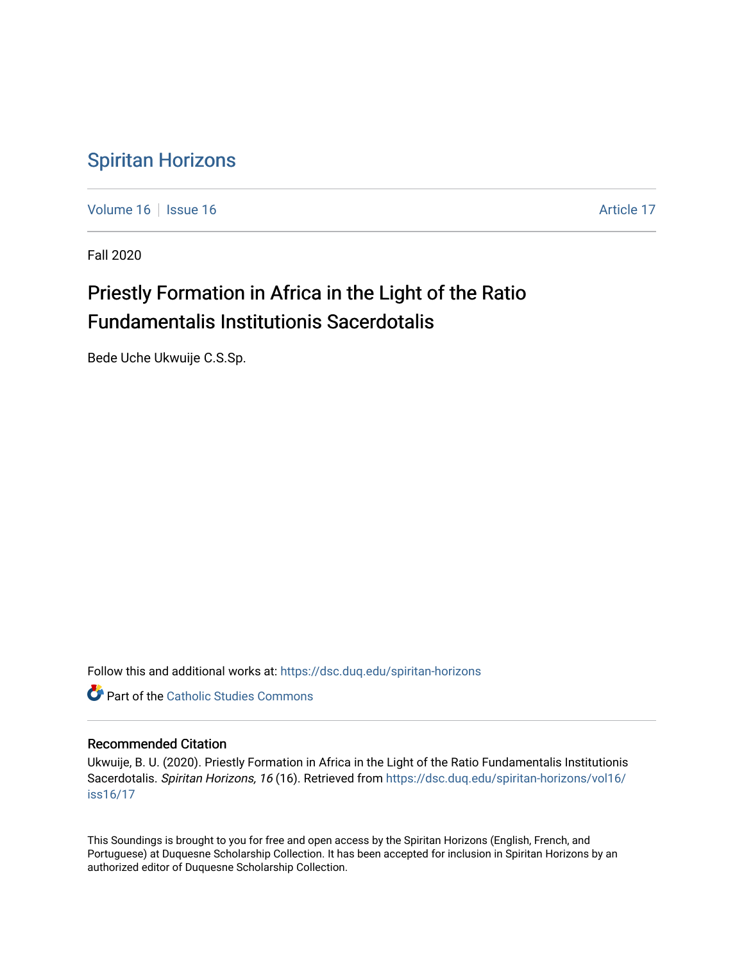## [Spiritan Horizons](https://dsc.duq.edu/spiritan-horizons)

[Volume 16](https://dsc.duq.edu/spiritan-horizons/vol16) September 16 Article 17

Fall 2020

# Priestly Formation in Africa in the Light of the Ratio Fundamentalis Institutionis Sacerdotalis

Bede Uche Ukwuije C.S.Sp.

Follow this and additional works at: [https://dsc.duq.edu/spiritan-horizons](https://dsc.duq.edu/spiritan-horizons?utm_source=dsc.duq.edu%2Fspiritan-horizons%2Fvol16%2Fiss16%2F17&utm_medium=PDF&utm_campaign=PDFCoverPages)

**C** Part of the [Catholic Studies Commons](http://network.bepress.com/hgg/discipline/1294?utm_source=dsc.duq.edu%2Fspiritan-horizons%2Fvol16%2Fiss16%2F17&utm_medium=PDF&utm_campaign=PDFCoverPages)

## Recommended Citation

Ukwuije, B. U. (2020). Priestly Formation in Africa in the Light of the Ratio Fundamentalis Institutionis Sacerdotalis. Spiritan Horizons, 16 (16). Retrieved from [https://dsc.duq.edu/spiritan-horizons/vol16/](https://dsc.duq.edu/spiritan-horizons/vol16/iss16/17?utm_source=dsc.duq.edu%2Fspiritan-horizons%2Fvol16%2Fiss16%2F17&utm_medium=PDF&utm_campaign=PDFCoverPages) [iss16/17](https://dsc.duq.edu/spiritan-horizons/vol16/iss16/17?utm_source=dsc.duq.edu%2Fspiritan-horizons%2Fvol16%2Fiss16%2F17&utm_medium=PDF&utm_campaign=PDFCoverPages)

This Soundings is brought to you for free and open access by the Spiritan Horizons (English, French, and Portuguese) at Duquesne Scholarship Collection. It has been accepted for inclusion in Spiritan Horizons by an authorized editor of Duquesne Scholarship Collection.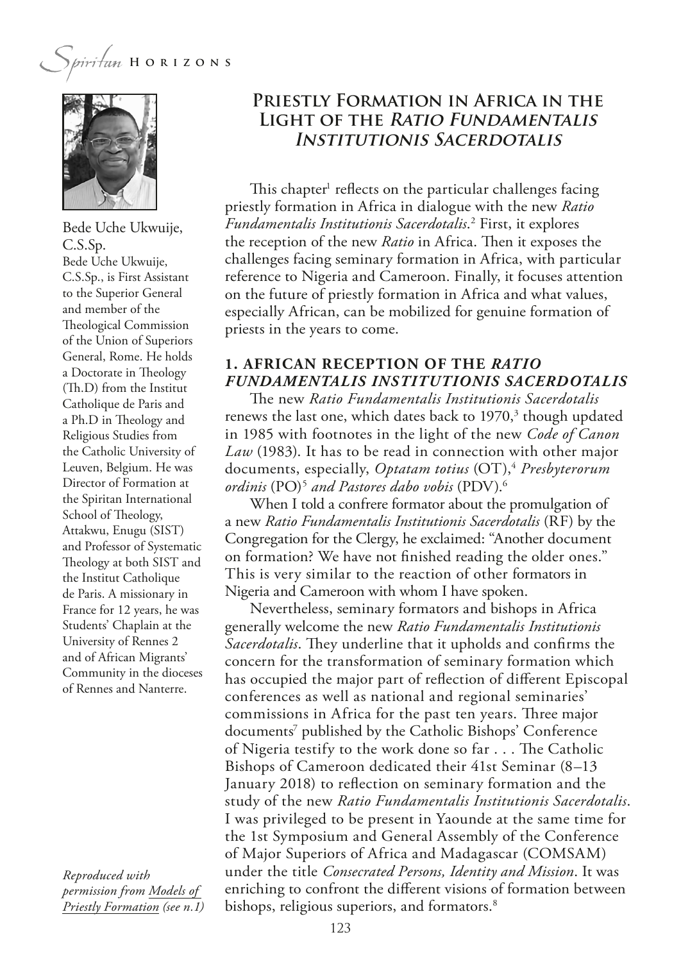

Bede Uche Ukwuije, C.S.Sp. Bede Uche Ukwuije, C.S.Sp., is First Assistant to the Superior General and member of the Theological Commission of the Union of Superiors General, Rome. He holds a Doctorate in Theology (Th.D) from the Institut Catholique de Paris and a Ph.D in Theology and Religious Studies from the Catholic University of Leuven, Belgium. He was Director of Formation at the Spiritan International School of Theology, Attakwu, Enugu (SIST) and Professor of Systematic Theology at both SIST and the Institut Catholique de Paris. A missionary in France for 12 years, he was Students' Chaplain at the University of Rennes 2 and of African Migrants' Community in the dioceses of Rennes and Nanterre.

*Reproduced with permission from Models of Priestly Formation (see n.1)*

## **Priestly Formation in Africa in the Light of the Ratio Fundamentalis Institutionis Sacerdotalis**

This chapter<sup>1</sup> reflects on the particular challenges facing priestly formation in Africa in dialogue with the new *Ratio Fundamentalis Institutionis Sacerdotalis*. 2 First, it explores the reception of the new *Ratio* in Africa. Then it exposes the challenges facing seminary formation in Africa, with particular reference to Nigeria and Cameroon. Finally, it focuses attention on the future of priestly formation in Africa and what values, especially African, can be mobilized for genuine formation of priests in the years to come.

## **1. AFRICAN RECEPTION OF THE** *RATIO FUNDAMENTALIS INSTITUTIONIS SACERDOTALIS*

**The new** *Ratio Fundamentalis Institutionis Sacerdotalis* renews the last one, which dates back to 1970,<sup>3</sup> though updated in 1985 with footnotes in the light of the new *Code of Canon Law* (1983). It has to be read in connection with other major documents, especially, *Optatam totius* (OT),4 *Presbyterorum ordinis* (PO)5  *and Pastores dabo vobis* (PDV).6

When I told a confrere formator about the promulgation of a new *Ratio Fundamentalis Institutionis Sacerdotalis* (RF) by the Congregation for the Clergy, he exclaimed: "Another document on formation? We have not fnished reading the older ones." This is very similar to the reaction of other formators in Nigeria and Cameroon with whom I have spoken.

Nevertheless, seminary formators and bishops in Africa generally welcome the new *Ratio Fundamentalis Institutionis*  Sacerdotalis. They underline that it upholds and confirms the concern for the transformation of seminary formation which has occupied the major part of refection of diferent Episcopal conferences as well as national and regional seminaries' commissions in Africa for the past ten years. Three major documents<sup>7</sup> published by the Catholic Bishops' Conference of Nigeria testify to the work done so far . . . The Catholic Bishops of Cameroon dedicated their 41st Seminar (8–13 January 2018) to refection on seminary formation and the study of the new *Ratio Fundamentalis Institutionis Sacerdotalis*. I was privileged to be present in Yaounde at the same time for the 1st Symposium and General Assembly of the Conference of Major Superiors of Africa and Madagascar (COMSAM) under the title *Consecrated Persons, Identity and Mission*. It was enriching to confront the diferent visions of formation between bishops, religious superiors, and formators.<sup>8</sup>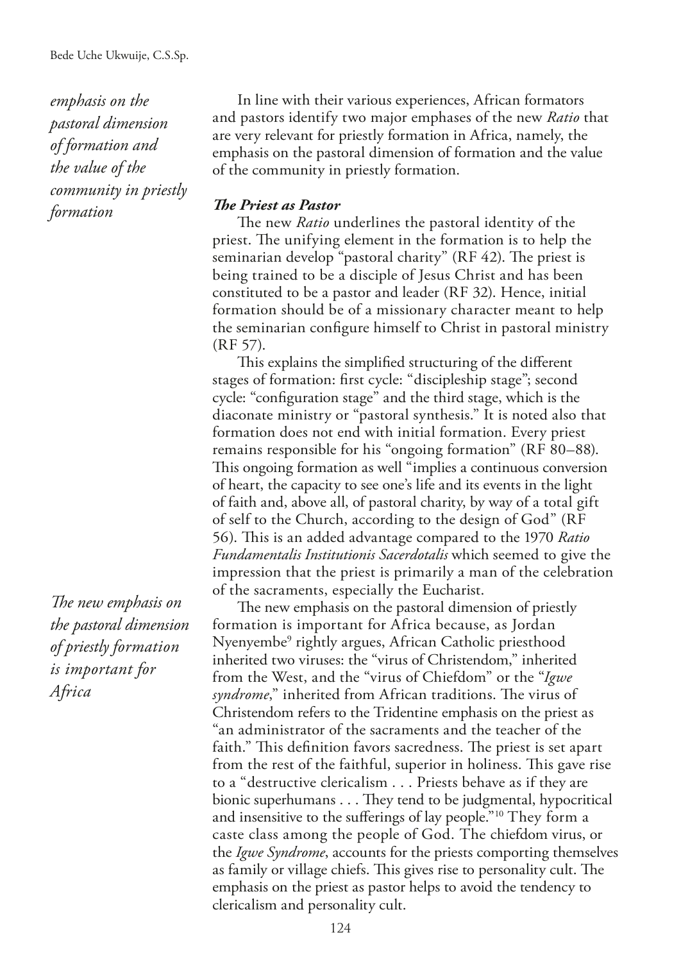*emphasis on the pastoral dimension of formation and the value of the community in priestly formation*

*The new emphasis on the pastoral dimension of priestly formation is important for Africa*

In line with their various experiences, African formators and pastors identify two major emphases of the new *Ratio* that are very relevant for priestly formation in Africa, namely, the emphasis on the pastoral dimension of formation and the value of the community in priestly formation.

#### **The Priest as Pastor**

The new *Ratio* underlines the pastoral identity of the priest. The unifying element in the formation is to help the seminarian develop "pastoral charity" (RF 42). The priest is being trained to be a disciple of Jesus Christ and has been constituted to be a pastor and leader (RF 32). Hence, initial formation should be of a missionary character meant to help the seminarian confgure himself to Christ in pastoral ministry (RF 57).

This explains the simplified structuring of the different stages of formation: frst cycle: "discipleship stage"; second cycle: "confguration stage" and the third stage, which is the diaconate ministry or "pastoral synthesis." It is noted also that formation does not end with initial formation. Every priest remains responsible for his "ongoing formation" (RF 80–88). This ongoing formation as well "implies a continuous conversion of heart, the capacity to see one's life and its events in the light of faith and, above all, of pastoral charity, by way of a total gift of self to the Church, according to the design of God" (RF 56). This is an added advantage compared to the 1970 *Ratio Fundamentalis Institutionis Sacerdotalis* which seemed to give the impression that the priest is primarily a man of the celebration of the sacraments, especially the Eucharist.

The new emphasis on the pastoral dimension of priestly formation is important for Africa because, as Jordan Nyenyembe9 rightly argues, African Catholic priesthood inherited two viruses: the "virus of Christendom," inherited from the West, and the "virus of Chiefdom" or the "*Igwe syndrome*," inherited from African traditions. The virus of Christendom refers to the Tridentine emphasis on the priest as "an administrator of the sacraments and the teacher of the faith." This definition favors sacredness. The priest is set apart from the rest of the faithful, superior in holiness. This gave rise to a "destructive clericalism . . . Priests behave as if they are bionic superhumans . . . They tend to be judgmental, hypocritical and insensitive to the sufferings of lay people."<sup>10</sup> They form a caste class among the people of God. The chiefdom virus, or the *Igwe Syndrome*, accounts for the priests comporting themselves as family or village chiefs. This gives rise to personality cult. The emphasis on the priest as pastor helps to avoid the tendency to clericalism and personality cult.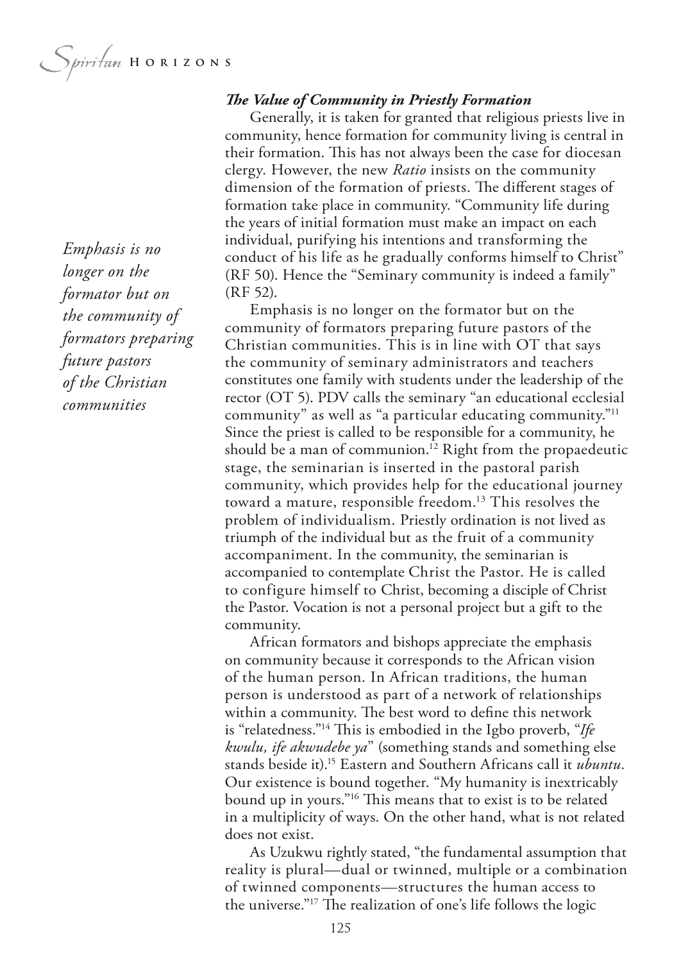*Emphasis is no longer on the formator but on the community of formators preparing future pastors of the Christian communities*

#### **The Value of Community in Priestly Formation**

Generally, it is taken for granted that religious priests live in community, hence formation for community living is central in their formation. This has not always been the case for diocesan clergy. However, the new *Ratio* insists on the community dimension of the formation of priests. The different stages of formation take place in community. "Community life during the years of initial formation must make an impact on each individual, purifying his intentions and transforming the conduct of his life as he gradually conforms himself to Christ" (RF 50). Hence the "Seminary community is indeed a family" (RF 52).

Emphasis is no longer on the formator but on the community of formators preparing future pastors of the Christian communities. This is in line with OT that says the community of seminary administrators and teachers constitutes one family with students under the leadership of the rector (OT 5). PDV calls the seminary "an educational ecclesial community" as well as "a particular educating community."11 Since the priest is called to be responsible for a community, he should be a man of communion.<sup>12</sup> Right from the propaedeutic stage, the seminarian is inserted in the pastoral parish community, which provides help for the educational journey toward a mature, responsible freedom.13 This resolves the problem of individualism. Priestly ordination is not lived as triumph of the individual but as the fruit of a community accompaniment. In the community, the seminarian is accompanied to contemplate Christ the Pastor. He is called to configure himself to Christ, becoming a disciple of Christ the Pastor. Vocation is not a personal project but a gift to the community.

African formators and bishops appreciate the emphasis on community because it corresponds to the African vision of the human person. In African traditions, the human person is understood as part of a network of relationships within a community. The best word to define this network is "relatedness."<sup>14</sup> This is embodied in the Igbo proverb, "Ife *kwulu, ife akwudebe ya*" (something stands and something else stands beside it).15 Eastern and Southern Africans call it *ubuntu*. Our existence is bound together. "My humanity is inextricably bound up in yours."<sup>16</sup> This means that to exist is to be related in a multiplicity of ways. On the other hand, what is not related does not exist.

As Uzukwu rightly stated, "the fundamental assumption that reality is plural—dual or twinned, multiple or a combination of twinned components—structures the human access to the universe."<sup>17</sup> The realization of one's life follows the logic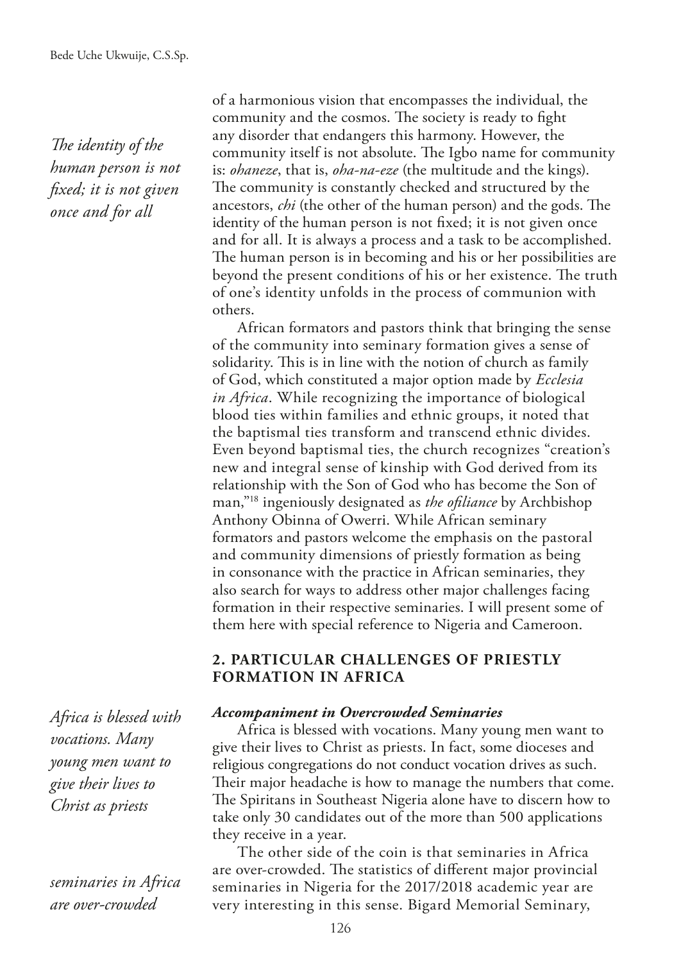The *identity* of the *human person is not fxed; it is not given once and for all*

of a harmonious vision that encompasses the individual, the community and the cosmos. The society is ready to fight any disorder that endangers this harmony. However, the community itself is not absolute. The Igbo name for community is: *ohaneze*, that is, *oha-na-eze* (the multitude and the kings). The community is constantly checked and structured by the ancestors, *chi* (the other of the human person) and the gods. The identity of the human person is not fixed; it is not given once and for all. It is always a process and a task to be accomplished. The human person is in becoming and his or her possibilities are beyond the present conditions of his or her existence. The truth of one's identity unfolds in the process of communion with others.

African formators and pastors think that bringing the sense of the community into seminary formation gives a sense of solidarity. This is in line with the notion of church as family of God, which constituted a major option made by *Ecclesia in Africa*. While recognizing the importance of biological blood ties within families and ethnic groups, it noted that the baptismal ties transform and transcend ethnic divides. Even beyond baptismal ties, the church recognizes "creation's new and integral sense of kinship with God derived from its relationship with the Son of God who has become the Son of man,"18 ingeniously designated as *the ofliance* by Archbishop Anthony Obinna of Owerri. While African seminary formators and pastors welcome the emphasis on the pastoral and community dimensions of priestly formation as being in consonance with the practice in African seminaries, they also search for ways to address other major challenges facing formation in their respective seminaries. I will present some of them here with special reference to Nigeria and Cameroon.

## **2. PARTICULAR CHALLENGES OF PRIESTLY FORMATION IN AFRICA**

*Accompaniment in Overcrowded Seminaries*

Africa is blessed with vocations. Many young men want to give their lives to Christ as priests. In fact, some dioceses and religious congregations do not conduct vocation drives as such. Their major headache is how to manage the numbers that come. The Spiritans in Southeast Nigeria alone have to discern how to take only 30 candidates out of the more than 500 applications they receive in a year.

The other side of the coin is that seminaries in Africa are over-crowded. The statistics of different major provincial seminaries in Nigeria for the 2017/2018 academic year are very interesting in this sense. Bigard Memorial Seminary,

*Africa is blessed with vocations. Many young men want to give their lives to Christ as priests*

*seminaries in Africa are over-crowded*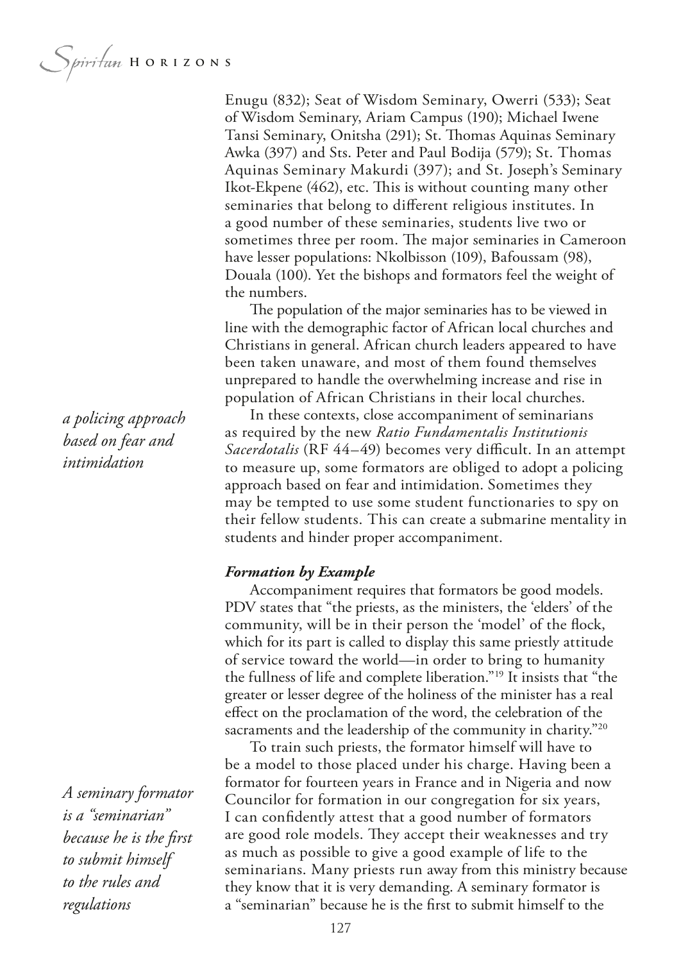Enugu (832); Seat of Wisdom Seminary, Owerri (533); Seat of Wisdom Seminary, Ariam Campus (190); Michael Iwene Tansi Seminary, Onitsha (291); St. Tomas Aquinas Seminary Awka (397) and Sts. Peter and Paul Bodija (579); St. Thomas Aquinas Seminary Makurdi (397); and St. Joseph's Seminary Ikot-Ekpene (462), etc. This is without counting many other seminaries that belong to diferent religious institutes. In a good number of these seminaries, students live two or sometimes three per room. The major seminaries in Cameroon have lesser populations: Nkolbisson (109), Bafoussam (98), Douala (100). Yet the bishops and formators feel the weight of the numbers.

The population of the major seminaries has to be viewed in line with the demographic factor of African local churches and Christians in general. African church leaders appeared to have been taken unaware, and most of them found themselves unprepared to handle the overwhelming increase and rise in population of African Christians in their local churches.

In these contexts, close accompaniment of seminarians as required by the new *Ratio Fundamentalis Institutionis Sacerdotalis* (RF 44–49) becomes very difficult. In an attempt to measure up, some formators are obliged to adopt a policing approach based on fear and intimidation. Sometimes they may be tempted to use some student functionaries to spy on their fellow students. This can create a submarine mentality in students and hinder proper accompaniment.

#### *Formation by Example*

Accompaniment requires that formators be good models. PDV states that "the priests, as the ministers, the 'elders' of the community, will be in their person the 'model' of the fock, which for its part is called to display this same priestly attitude of service toward the world—in order to bring to humanity the fullness of life and complete liberation."19 It insists that "the greater or lesser degree of the holiness of the minister has a real efect on the proclamation of the word, the celebration of the sacraments and the leadership of the community in charity."<sup>20</sup>

To train such priests, the formator himself will have to be a model to those placed under his charge. Having been a formator for fourteen years in France and in Nigeria and now Councilor for formation in our congregation for six years, I can confdently attest that a good number of formators are good role models. They accept their weaknesses and try as much as possible to give a good example of life to the seminarians. Many priests run away from this ministry because they know that it is very demanding. A seminary formator is a "seminarian" because he is the frst to submit himself to the

*a policing approach based on fear and intimidation*

*A seminary formator is a "seminarian" because he is the frst to submit himself to the rules and regulations*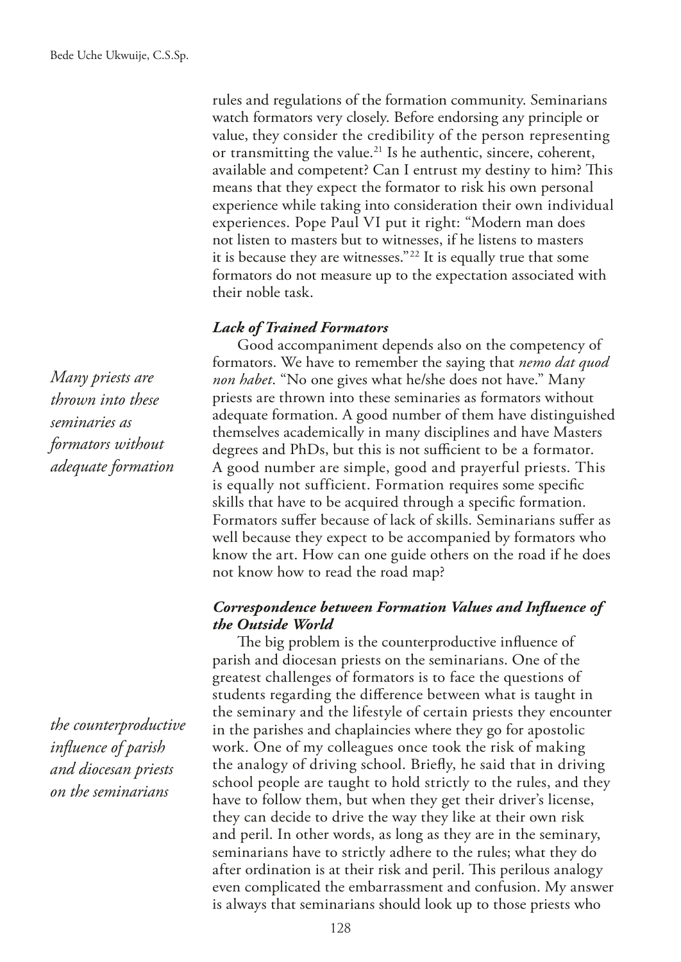rules and regulations of the formation community. Seminarians watch formators very closely. Before endorsing any principle or value, they consider the credibility of the person representing or transmitting the value.<sup>21</sup> Is he authentic, sincere, coherent, available and competent? Can I entrust my destiny to him? This means that they expect the formator to risk his own personal experience while taking into consideration their own individual experiences. Pope Paul VI put it right: "Modern man does not listen to masters but to witnesses, if he listens to masters it is because they are witnesses."22 It is equally true that some formators do not measure up to the expectation associated with their noble task.

## *Lack of Trained Formators*

Good accompaniment depends also on the competency of formators. We have to remember the saying that *nemo dat quod non habet*. "No one gives what he/she does not have." Many priests are thrown into these seminaries as formators without adequate formation. A good number of them have distinguished themselves academically in many disciplines and have Masters degrees and PhDs, but this is not sufficient to be a formator. A good number are simple, good and prayerful priests. This is equally not sufficient. Formation requires some specifc skills that have to be acquired through a specifc formation. Formators suffer because of lack of skills. Seminarians suffer as well because they expect to be accompanied by formators who know the art. How can one guide others on the road if he does not know how to read the road map?

## *Correspondence between Formation Values and Infuence of the Outside World*

The big problem is the counterproductive influence of parish and diocesan priests on the seminarians. One of the greatest challenges of formators is to face the questions of students regarding the diference between what is taught in the seminary and the lifestyle of certain priests they encounter in the parishes and chaplaincies where they go for apostolic work. One of my colleagues once took the risk of making the analogy of driving school. Briefy, he said that in driving school people are taught to hold strictly to the rules, and they have to follow them, but when they get their driver's license, they can decide to drive the way they like at their own risk and peril. In other words, as long as they are in the seminary, seminarians have to strictly adhere to the rules; what they do after ordination is at their risk and peril. This perilous analogy even complicated the embarrassment and confusion. My answer is always that seminarians should look up to those priests who

*Many priests are thrown into these seminaries as formators without adequate formation*

*the counterproductive infuence of parish and diocesan priests on the seminarians*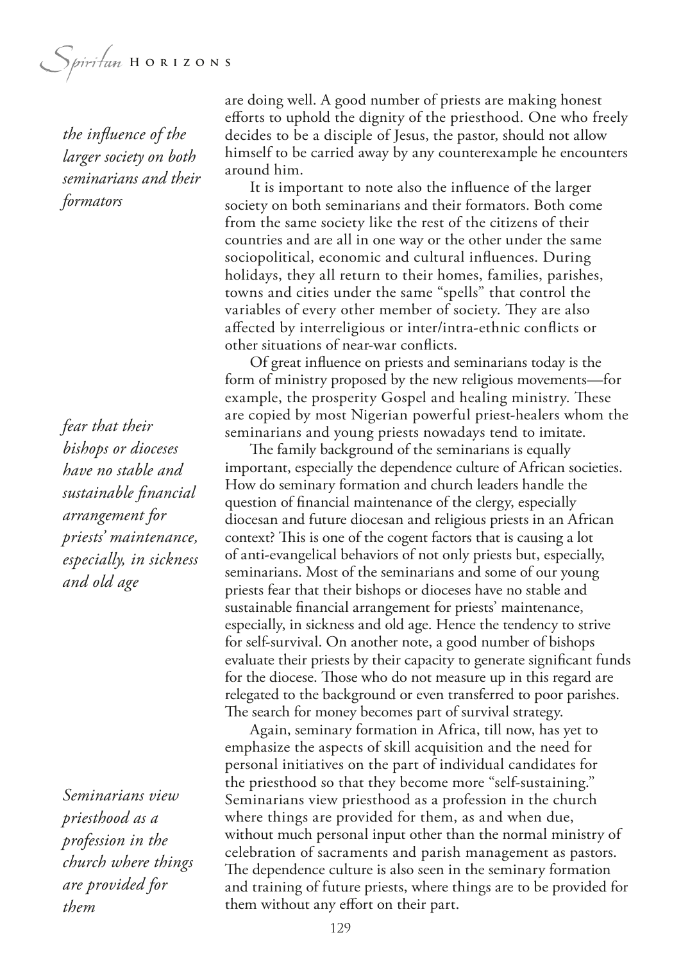Spiritan HORIZONS

*the infuence of the larger society on both seminarians and their formators*

*fear that their bishops or dioceses have no stable and sustainable fnancial arrangement for priests' maintenance, especially, in sickness and old age*

*Seminarians view priesthood as a profession in the church where things are provided for them*

are doing well. A good number of priests are making honest eforts to uphold the dignity of the priesthood. One who freely decides to be a disciple of Jesus, the pastor, should not allow himself to be carried away by any counterexample he encounters around him.

It is important to note also the infuence of the larger society on both seminarians and their formators. Both come from the same society like the rest of the citizens of their countries and are all in one way or the other under the same sociopolitical, economic and cultural infuences. During holidays, they all return to their homes, families, parishes, towns and cities under the same "spells" that control the variables of every other member of society. They are also afected by interreligious or inter/intra-ethnic conficts or other situations of near-war conficts.

Of great infuence on priests and seminarians today is the form of ministry proposed by the new religious movements—for example, the prosperity Gospel and healing ministry. These are copied by most Nigerian powerful priest-healers whom the seminarians and young priests nowadays tend to imitate.

The family background of the seminarians is equally important, especially the dependence culture of African societies. How do seminary formation and church leaders handle the question of fnancial maintenance of the clergy, especially diocesan and future diocesan and religious priests in an African context? This is one of the cogent factors that is causing a lot of anti-evangelical behaviors of not only priests but, especially, seminarians. Most of the seminarians and some of our young priests fear that their bishops or dioceses have no stable and sustainable fnancial arrangement for priests' maintenance, especially, in sickness and old age. Hence the tendency to strive for self-survival. On another note, a good number of bishops evaluate their priests by their capacity to generate signifcant funds for the diocese. Those who do not measure up in this regard are relegated to the background or even transferred to poor parishes. The search for money becomes part of survival strategy.

Again, seminary formation in Africa, till now, has yet to emphasize the aspects of skill acquisition and the need for personal initiatives on the part of individual candidates for the priesthood so that they become more "self-sustaining." Seminarians view priesthood as a profession in the church where things are provided for them, as and when due, without much personal input other than the normal ministry of celebration of sacraments and parish management as pastors. The dependence culture is also seen in the seminary formation and training of future priests, where things are to be provided for them without any effort on their part.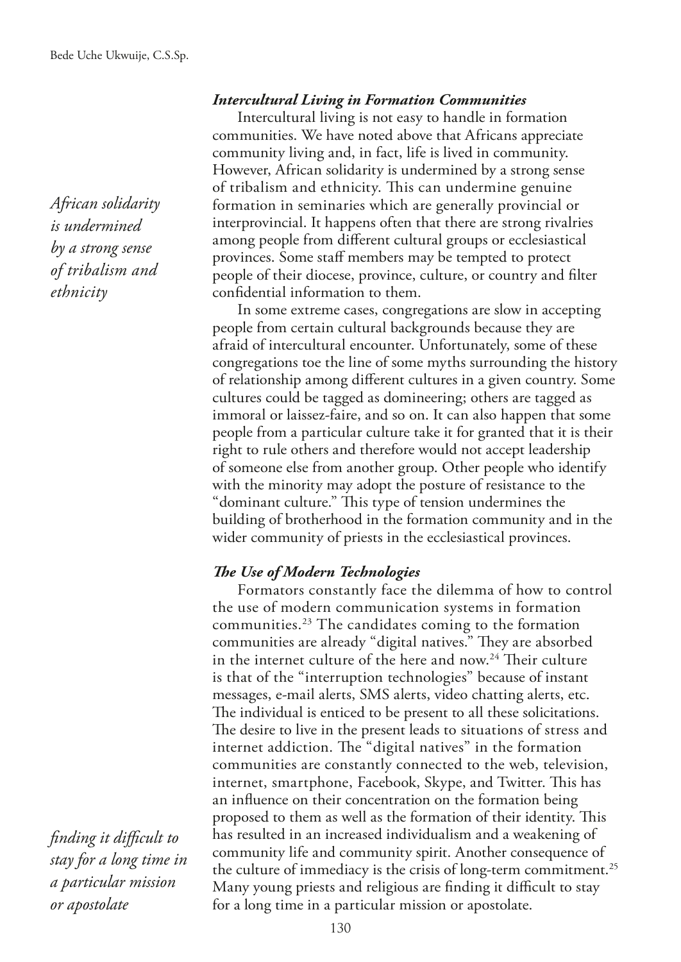*African solidarity is undermined by a strong sense of tribalism and ethnicity*

#### *Intercultural Living in Formation Communities*

Intercultural living is not easy to handle in formation communities. We have noted above that Africans appreciate community living and, in fact, life is lived in community. However, African solidarity is undermined by a strong sense of tribalism and ethnicity. This can undermine genuine formation in seminaries which are generally provincial or interprovincial. It happens often that there are strong rivalries among people from diferent cultural groups or ecclesiastical provinces. Some staff members may be tempted to protect people of their diocese, province, culture, or country and flter confdential information to them.

In some extreme cases, congregations are slow in accepting people from certain cultural backgrounds because they are afraid of intercultural encounter. Unfortunately, some of these congregations toe the line of some myths surrounding the history of relationship among diferent cultures in a given country. Some cultures could be tagged as domineering; others are tagged as immoral or laissez-faire, and so on. It can also happen that some people from a particular culture take it for granted that it is their right to rule others and therefore would not accept leadership of someone else from another group. Other people who identify with the minority may adopt the posture of resistance to the "dominant culture." This type of tension undermines the building of brotherhood in the formation community and in the wider community of priests in the ecclesiastical provinces.

#### **The Use of Modern Technologies**

Formators constantly face the dilemma of how to control the use of modern communication systems in formation communities.23 The candidates coming to the formation communities are already "digital natives." They are absorbed in the internet culture of the here and now.<sup>24</sup> Their culture is that of the "interruption technologies" because of instant messages, e-mail alerts, SMS alerts, video chatting alerts, etc. The individual is enticed to be present to all these solicitations. The desire to live in the present leads to situations of stress and internet addiction. The "digital natives" in the formation communities are constantly connected to the web, television, internet, smartphone, Facebook, Skype, and Twitter. This has an infuence on their concentration on the formation being proposed to them as well as the formation of their identity. This has resulted in an increased individualism and a weakening of community life and community spirit. Another consequence of the culture of immediacy is the crisis of long-term commitment.<sup>25</sup> Many young priests and religious are finding it difficult to stay for a long time in a particular mission or apostolate.

*fnding it difcult to stay for a long time in a particular mission or apostolate*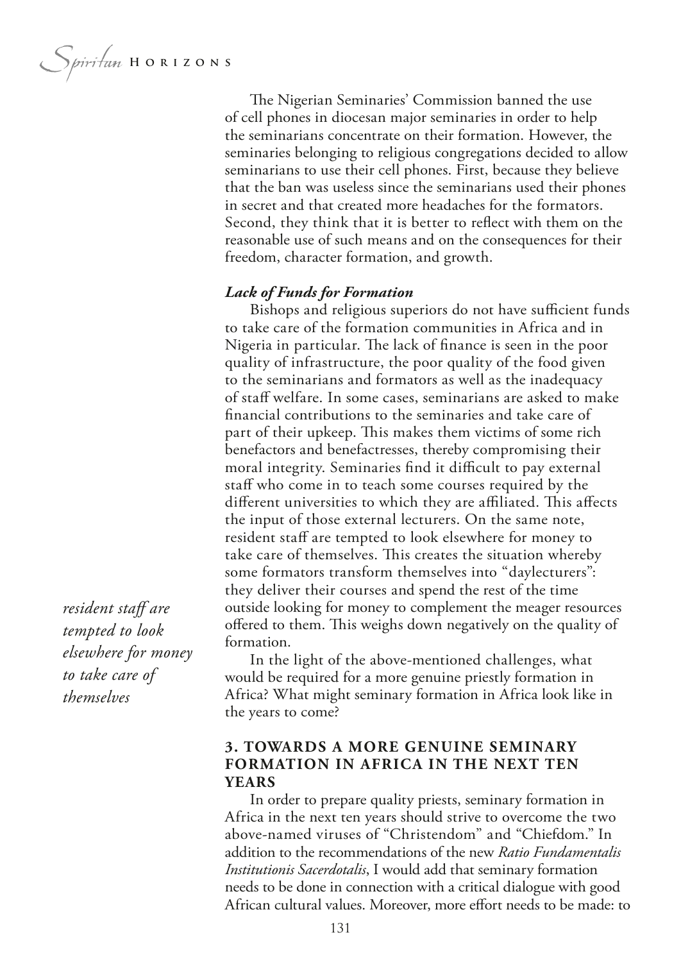Spiritan HORIZONS

The Nigerian Seminaries' Commission banned the use of cell phones in diocesan major seminaries in order to help the seminarians concentrate on their formation. However, the seminaries belonging to religious congregations decided to allow seminarians to use their cell phones. First, because they believe that the ban was useless since the seminarians used their phones in secret and that created more headaches for the formators. Second, they think that it is better to refect with them on the reasonable use of such means and on the consequences for their freedom, character formation, and growth.

#### *Lack of Funds for Formation*

Bishops and religious superiors do not have sufficient funds to take care of the formation communities in Africa and in Nigeria in particular. The lack of finance is seen in the poor quality of infrastructure, the poor quality of the food given to the seminarians and formators as well as the inadequacy of staf welfare. In some cases, seminarians are asked to make fnancial contributions to the seminaries and take care of part of their upkeep. This makes them victims of some rich benefactors and benefactresses, thereby compromising their moral integrity. Seminaries find it difficult to pay external staf who come in to teach some courses required by the different universities to which they are affiliated. This affects the input of those external lecturers. On the same note, resident staff are tempted to look elsewhere for money to take care of themselves. This creates the situation whereby some formators transform themselves into "daylecturers": they deliver their courses and spend the rest of the time outside looking for money to complement the meager resources offered to them. This weighs down negatively on the quality of formation.

In the light of the above-mentioned challenges, what would be required for a more genuine priestly formation in Africa? What might seminary formation in Africa look like in the years to come?

## **3. TOWARDS A MORE GENUINE SEMINARY FORMATION IN AFRICA IN THE NEXT TEN YEARS**

In order to prepare quality priests, seminary formation in Africa in the next ten years should strive to overcome the two above-named viruses of "Christendom" and "Chiefdom." In addition to the recommendations of the new *Ratio Fundamentalis Institutionis Sacerdotalis*, I would add that seminary formation needs to be done in connection with a critical dialogue with good African cultural values. Moreover, more effort needs to be made: to

resident staff are *tempted to look elsewhere for money to take care of themselves*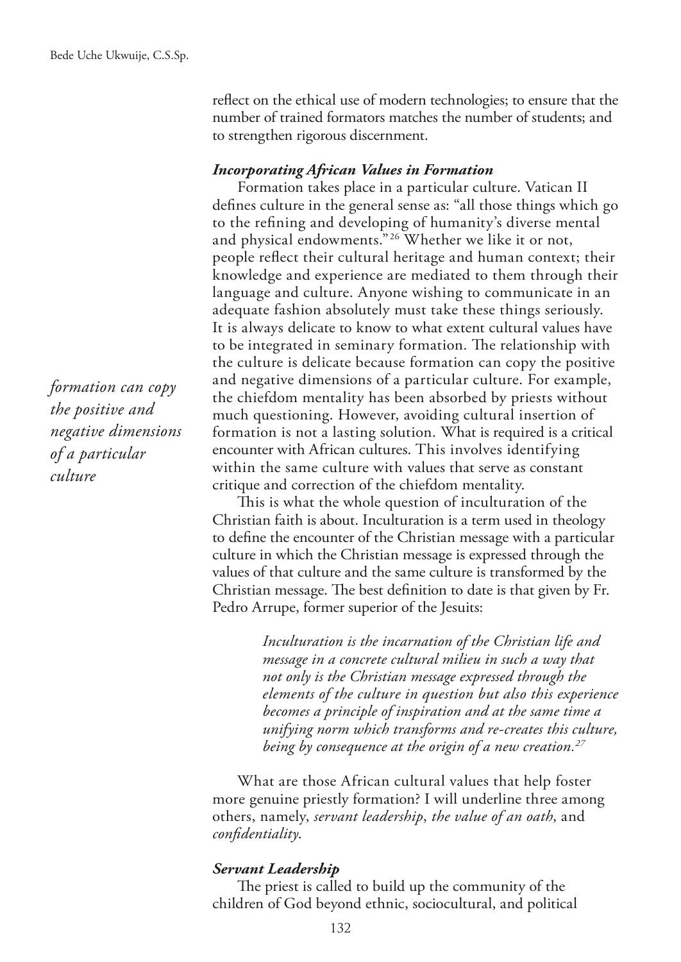refect on the ethical use of modern technologies; to ensure that the number of trained formators matches the number of students; and to strengthen rigorous discernment.

#### *Incorporating African Values in Formation*

Formation takes place in a particular culture. Vatican II defnes culture in the general sense as: "all those things which go to the refning and developing of humanity's diverse mental and physical endowments."26 Whether we like it or not, people refect their cultural heritage and human context; their knowledge and experience are mediated to them through their language and culture. Anyone wishing to communicate in an adequate fashion absolutely must take these things seriously. It is always delicate to know to what extent cultural values have to be integrated in seminary formation. The relationship with the culture is delicate because formation can copy the positive and negative dimensions of a particular culture. For example, the chiefdom mentality has been absorbed by priests without much questioning. However, avoiding cultural insertion of formation is not a lasting solution. What is required is a critical encounter with African cultures. This involves identifying within the same culture with values that serve as constant critique and correction of the chiefdom mentality.

This is what the whole question of inculturation of the Christian faith is about. Inculturation is a term used in theology to defne the encounter of the Christian message with a particular culture in which the Christian message is expressed through the values of that culture and the same culture is transformed by the Christian message. The best definition to date is that given by Fr. Pedro Arrupe, former superior of the Jesuits:

> *Inculturation is the incarnation of the Christian life and message in a concrete cultural milieu in such a way that not only is the Christian message expressed through the elements of the culture in question but also this experience becomes a principle of inspiration and at the same time a unifying norm which transforms and re-creates this culture, being by consequence at the origin of a new creation.27*

What are those African cultural values that help foster more genuine priestly formation? I will underline three among others, namely, *servant leadership*, *the value of an oath*, and *confdentiality*.

#### *Servant Leadership*

The priest is called to build up the community of the children of God beyond ethnic, sociocultural, and political

*formation can copy the positive and negative dimensions of a particular culture*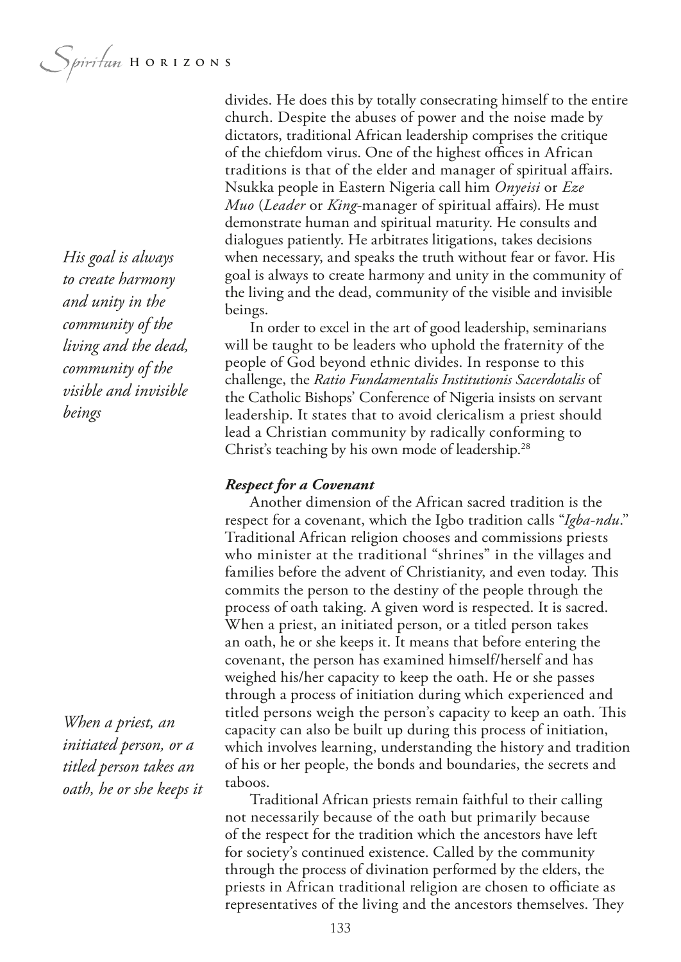*His goal is always to create harmony and unity in the community of the living and the dead, community of the visible and invisible beings*

*When a priest, an initiated person, or a titled person takes an oath, he or she keeps it* divides. He does this by totally consecrating himself to the entire church. Despite the abuses of power and the noise made by dictators, traditional African leadership comprises the critique of the chiefdom virus. One of the highest offices in African traditions is that of the elder and manager of spiritual afairs. Nsukka people in Eastern Nigeria call him *Onyeisi* or *Eze Muo* (*Leader* or *King*-manager of spiritual afairs). He must demonstrate human and spiritual maturity. He consults and dialogues patiently. He arbitrates litigations, takes decisions when necessary, and speaks the truth without fear or favor. His goal is always to create harmony and unity in the community of the living and the dead, community of the visible and invisible beings.

In order to excel in the art of good leadership, seminarians will be taught to be leaders who uphold the fraternity of the people of God beyond ethnic divides. In response to this challenge, the *Ratio Fundamentalis Institutionis Sacerdotalis* of the Catholic Bishops' Conference of Nigeria insists on servant leadership. It states that to avoid clericalism a priest should lead a Christian community by radically conforming to Christ's teaching by his own mode of leadership.<sup>28</sup>

#### *Respect for a Covenant*

Another dimension of the African sacred tradition is the respect for a covenant, which the Igbo tradition calls "*Igba-ndu*." Traditional African religion chooses and commissions priests who minister at the traditional "shrines" in the villages and families before the advent of Christianity, and even today. This commits the person to the destiny of the people through the process of oath taking. A given word is respected. It is sacred. When a priest, an initiated person, or a titled person takes an oath, he or she keeps it. It means that before entering the covenant, the person has examined himself/herself and has weighed his/her capacity to keep the oath. He or she passes through a process of initiation during which experienced and titled persons weigh the person's capacity to keep an oath. This capacity can also be built up during this process of initiation, which involves learning, understanding the history and tradition of his or her people, the bonds and boundaries, the secrets and taboos.

Traditional African priests remain faithful to their calling not necessarily because of the oath but primarily because of the respect for the tradition which the ancestors have left for society's continued existence. Called by the community through the process of divination performed by the elders, the priests in African traditional religion are chosen to officiate as representatives of the living and the ancestors themselves. They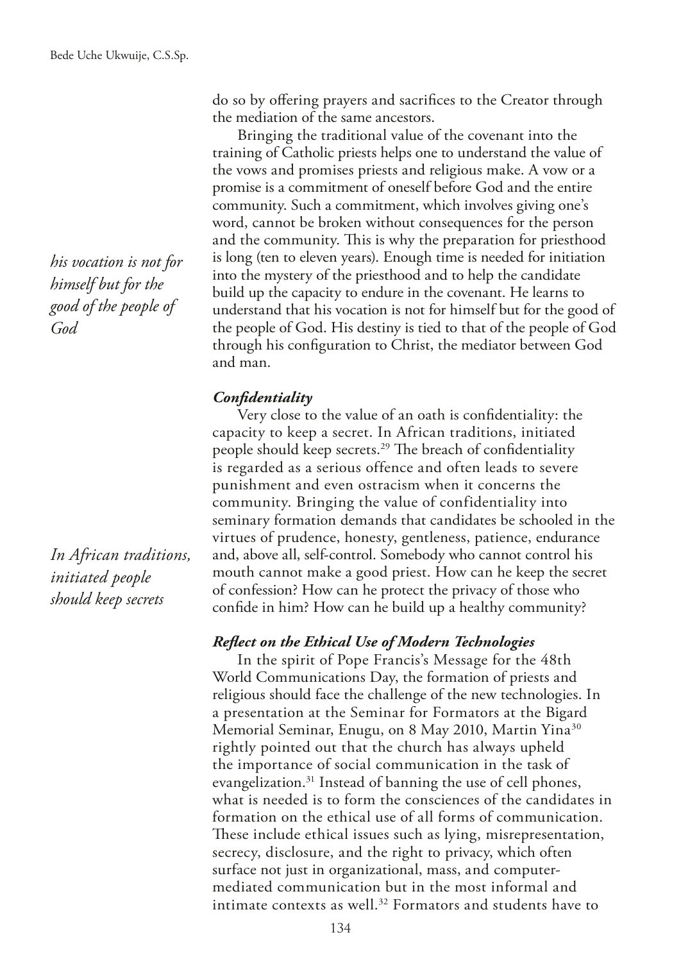*his vocation is not for himself but for the good of the people of God*

*In African traditions, initiated people should keep secrets*

do so by ofering prayers and sacrifces to the Creator through the mediation of the same ancestors.

Bringing the traditional value of the covenant into the training of Catholic priests helps one to understand the value of the vows and promises priests and religious make. A vow or a promise is a commitment of oneself before God and the entire community. Such a commitment, which involves giving one's word, cannot be broken without consequences for the person and the community. This is why the preparation for priesthood is long (ten to eleven years). Enough time is needed for initiation into the mystery of the priesthood and to help the candidate build up the capacity to endure in the covenant. He learns to understand that his vocation is not for himself but for the good of the people of God. His destiny is tied to that of the people of God through his confguration to Christ, the mediator between God and man.

## *Confdentiality*

Very close to the value of an oath is confdentiality: the capacity to keep a secret. In African traditions, initiated people should keep secrets.<sup>29</sup> The breach of confidentiality is regarded as a serious offence and often leads to severe punishment and even ostracism when it concerns the community. Bringing the value of confidentiality into seminary formation demands that candidates be schooled in the virtues of prudence, honesty, gentleness, patience, endurance and, above all, self-control. Somebody who cannot control his mouth cannot make a good priest. How can he keep the secret of confession? How can he protect the privacy of those who confde in him? How can he build up a healthy community?

## *Refect on the Ethical Use of Modern Technologies*

In the spirit of Pope Francis's Message for the 48th World Communications Day, the formation of priests and religious should face the challenge of the new technologies. In a presentation at the Seminar for Formators at the Bigard Memorial Seminar, Enugu, on 8 May 2010, Martin Yina<sup>30</sup> rightly pointed out that the church has always upheld the importance of social communication in the task of evangelization.31 Instead of banning the use of cell phones, what is needed is to form the consciences of the candidates in formation on the ethical use of all forms of communication. These include ethical issues such as lying, misrepresentation, secrecy, disclosure, and the right to privacy, which often surface not just in organizational, mass, and computermediated communication but in the most informal and intimate contexts as well.<sup>32</sup> Formators and students have to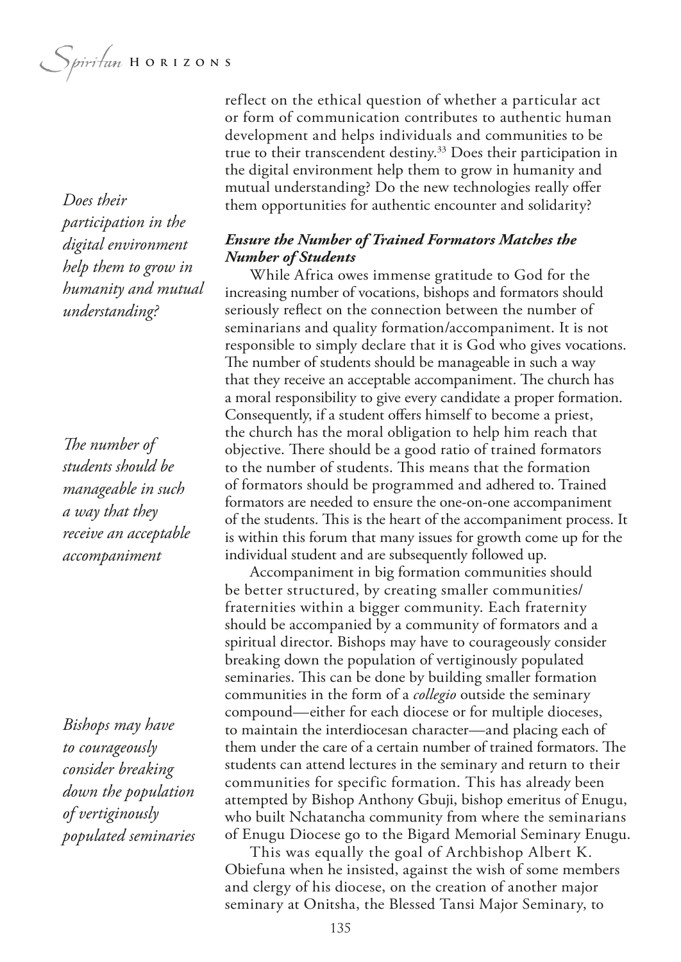Spiritan HORIZONS

*Does their participation in the digital environment help them to grow in humanity and mutual understanding?*

The number of *students should be manageable in such a way that they receive an acceptable accompaniment*

*Bishops may have to courageously consider breaking down the population of vertiginously populated seminaries* reflect on the ethical question of whether a particular act or form of communication contributes to authentic human development and helps individuals and communities to be true to their transcendent destiny.<sup>33</sup> Does their participation in the digital environment help them to grow in humanity and mutual understanding? Do the new technologies really ofer them opportunities for authentic encounter and solidarity?

## *Ensure the Number of Trained Formators Matches the Number of Students*

While Africa owes immense gratitude to God for the increasing number of vocations, bishops and formators should seriously refect on the connection between the number of seminarians and quality formation/accompaniment. It is not responsible to simply declare that it is God who gives vocations. The number of students should be manageable in such a way that they receive an acceptable accompaniment. The church has a moral responsibility to give every candidate a proper formation. Consequently, if a student offers himself to become a priest, the church has the moral obligation to help him reach that objective. There should be a good ratio of trained formators to the number of students. This means that the formation of formators should be programmed and adhered to. Trained formators are needed to ensure the one-on-one accompaniment of the students. This is the heart of the accompaniment process. It is within this forum that many issues for growth come up for the individual student and are subsequently followed up.

Accompaniment in big formation communities should be better structured, by creating smaller communities/ fraternities within a bigger community. Each fraternity should be accompanied by a community of formators and a spiritual director. Bishops may have to courageously consider breaking down the population of vertiginously populated seminaries. This can be done by building smaller formation communities in the form of a *collegio* outside the seminary compound—either for each diocese or for multiple dioceses, to maintain the interdiocesan character—and placing each of them under the care of a certain number of trained formators. The students can attend lectures in the seminary and return to their communities for specific formation. This has already been attempted by Bishop Anthony Gbuji, bishop emeritus of Enugu, who built Nchatancha community from where the seminarians of Enugu Diocese go to the Bigard Memorial Seminary Enugu.

This was equally the goal of Archbishop Albert K. Obiefuna when he insisted, against the wish of some members and clergy of his diocese, on the creation of another major seminary at Onitsha, the Blessed Tansi Major Seminary, to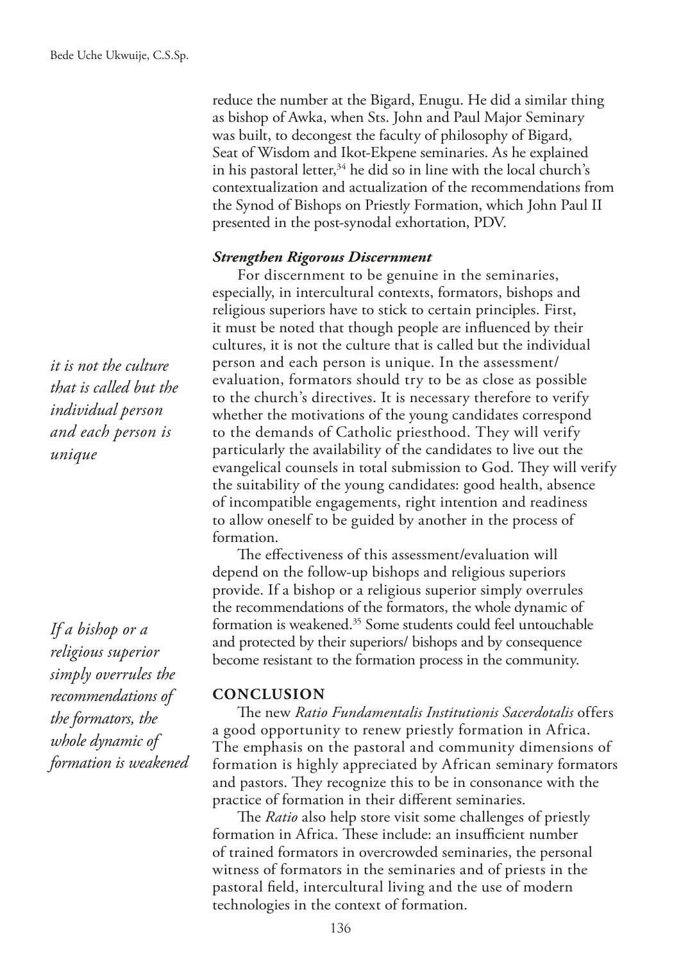reduce the number at the Bigard, Enugu. He did a similar thing as bishop of Awka, when Sts. John and Paul Major Seminary was built, to decongest the faculty of philosophy of Bigard, Seat of Wisdom and Ikot-Ekpene seminaries. As he explained in his pastoral letter,  $34$  he did so in line with the local church's contextualization and actualization of the recommendations from the Synod of Bishops on Priestly Formation, which John Paul II presented in the post-synodal exhortation, PDV.

#### *Strengthen Rigorous Discernment*

For discernment to be genuine in the seminaries, especially, in intercultural contexts, formators, bishops and religious superiors have to stick to certain principles. First, it must be noted that though people are infuenced by their cultures, it is not the culture that is called but the individual person and each person is unique. In the assessment/ evaluation, formators should try to be as close as possible to the church's directives. It is necessary therefore to verify whether the motivations of the young candidates correspond to the demands of Catholic priesthood. They will verify particularly the availability of the candidates to live out the evangelical counsels in total submission to God. They will verify the suitability of the young candidates: good health, absence of incompatible engagements, right intention and readiness to allow oneself to be guided by another in the process of formation.

The effectiveness of this assessment/evaluation will depend on the follow-up bishops and religious superiors provide. If a bishop or a religious superior simply overrules the recommendations of the formators, the whole dynamic of formation is weakened.35 Some students could feel untouchable and protected by their superiors/ bishops and by consequence become resistant to the formation process in the community.

#### **CONCLUSION**

The new *Ratio Fundamentalis Institutionis Sacerdotalis* offers a good opportunity to renew priestly formation in Africa. The emphasis on the pastoral and community dimensions of formation is highly appreciated by African seminary formators and pastors. They recognize this to be in consonance with the practice of formation in their diferent seminaries.

The *Ratio* also help store visit some challenges of priestly formation in Africa. These include: an insufficient number of trained formators in overcrowded seminaries, the personal witness of formators in the seminaries and of priests in the pastoral feld, intercultural living and the use of modern technologies in the context of formation.

*it is not the culture that is called but the individual person and each person is unique*

*If a bishop or a religious superior simply overrules the recommendations of the formators, the whole dynamic of formation is weakened*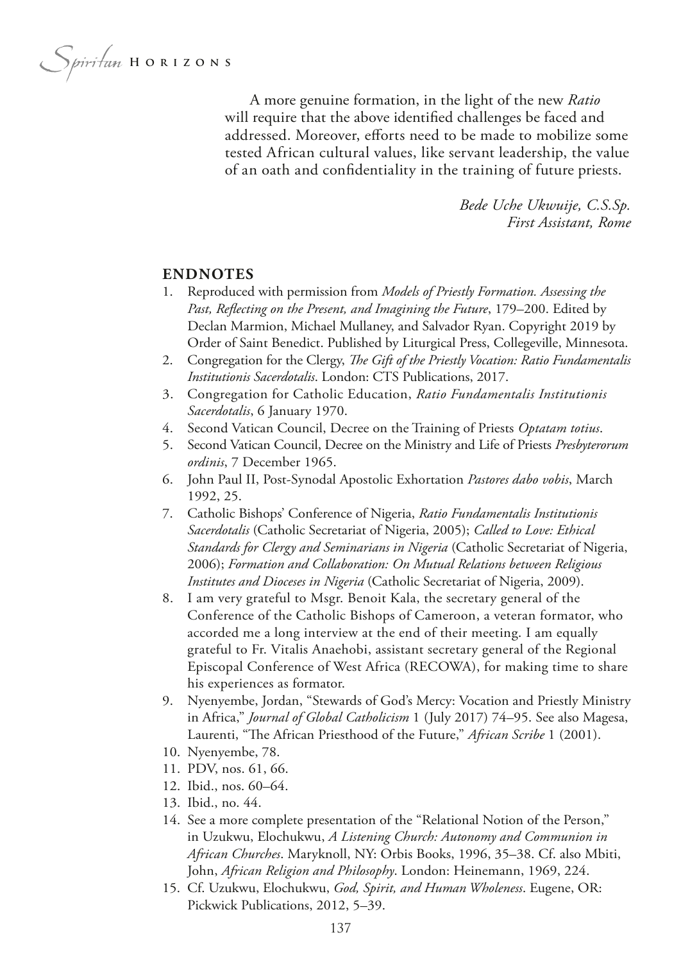Spiritan HORIZONS

A more genuine formation, in the light of the new *Ratio*  will require that the above identifed challenges be faced and addressed. Moreover, efforts need to be made to mobilize some tested African cultural values, like servant leadership, the value of an oath and confdentiality in the training of future priests.

> *Bede Uche Ukwuije, C.S.Sp. First Assistant, Rome*

#### **ENDNOTES**

- 1. Reproduced with permission from *Models of Priestly Formation. Assessing the Past, Refecting on the Present, and Imagining the Future*, 179–200. Edited by Declan Marmion, Michael Mullaney, and Salvador Ryan. Copyright 2019 by Order of Saint Benedict. Published by Liturgical Press, Collegeville, Minnesota.
- 2. Congregation for the Clergy, *The Gift of the Priestly Vocation: Ratio Fundamentalis Institutionis Sacerdotalis*. London: CTS Publications, 2017.
- 3. Congregation for Catholic Education, *Ratio Fundamentalis Institutionis Sacerdotalis*, 6 January 1970.
- 4. Second Vatican Council, Decree on the Training of Priests *Optatam totius*.
- 5. Second Vatican Council, Decree on the Ministry and Life of Priests *Presbyterorum ordinis*, 7 December 1965.
- 6. John Paul II, Post-Synodal Apostolic Exhortation *Pastores dabo vobis*, March 1992, 25.
- 7. Catholic Bishops' Conference of Nigeria, *Ratio Fundamentalis Institutionis Sacerdotalis* (Catholic Secretariat of Nigeria, 2005); *Called to Love: Ethical Standards for Clergy and Seminarians in Nigeria* (Catholic Secretariat of Nigeria, 2006); *Formation and Collaboration: On Mutual Relations between Religious Institutes and Dioceses in Nigeria* (Catholic Secretariat of Nigeria, 2009).
- 8. I am very grateful to Msgr. Benoit Kala, the secretary general of the Conference of the Catholic Bishops of Cameroon, a veteran formator, who accorded me a long interview at the end of their meeting. I am equally grateful to Fr. Vitalis Anaehobi, assistant secretary general of the Regional Episcopal Conference of West Africa (RECOWA), for making time to share his experiences as formator.
- 9. Nyenyembe, Jordan, "Stewards of God's Mercy: Vocation and Priestly Ministry in Africa," *Journal of Global Catholicism* 1 (July 2017) 74–95. See also Magesa, Laurenti, "The African Priesthood of the Future," African Scribe 1 (2001).
- 10. Nyenyembe, 78.
- 11. PDV, nos. 61, 66.
- 12. Ibid., nos. 60–64.
- 13. Ibid., no. 44.
- 14. See a more complete presentation of the "Relational Notion of the Person," in Uzukwu, Elochukwu, *A Listening Church: Autonomy and Communion in African Churches*. Maryknoll, NY: Orbis Books, 1996, 35–38. Cf. also Mbiti, John, *African Religion and Philosophy*. London: Heinemann, 1969, 224.
- 15. Cf. Uzukwu, Elochukwu, *God, Spirit, and Human Wholeness*. Eugene, OR: Pickwick Publications, 2012, 5–39.